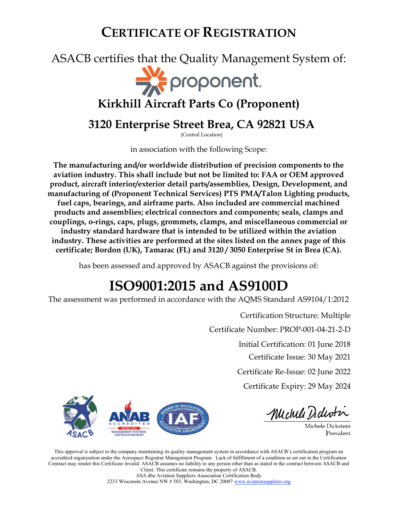## ASACB certifies that the Quality Management System of:



## Kirkhill Aircraft Parts Co (Proponent)

### 3120 Enterprise Street Brea, CA 92821 USA

(Central Location)

in association with the following Scope:

The manufacturing and/or worldwide distribution of precision components to the aviation industry. This shall include but not be limited to: FAA or OEM approved product, aircraft interior/exterior detail parts/assemblies, Design, Development, and manufacturing of (Proponent Technical Services) PTS PMA/Talon Lighting products, fuel caps, bearings, and airframe parts. Also included are commercial machined products and assemblies; electrical connectors and components; seals, clamps and couplings, o-rings, caps, plugs, grommets, clamps, and miscellaneous commercial or industry standard hardware that is intended to be utilized within the aviation industry. These activities are performed at the sites listed on the annex page of this certificate; Bordon (UK), Tamarac (FL) and 3120 / 3050 Enterprise St in Brea (CA).

has been assessed and approved by ASACB against the provisions of:

# ISO9001:2015 and AS9100D

The assessment was performed in accordance with the AQMS Standard AS9104/1:2012

Certification Structure: Multiple

Certificate Number: PROP-001-04-21-2-D

Initial Certification: 01 June 2018

Certificate Issue: 30 May 2021

Certificate Re-Issue: 02 June 2022

Certificate Expiry: 29 May 2024



Michell Didentin

Michele Dickstein President

This approval is subject to the company maintaining its quality management system in accordance with ASACB's certification program an accredited organization under the Aerospace Registrar Management Program. Lack of fulfillment of a condition as set out in the Certification Contract may render this Certificate invalid. ASACB assumes no liability to any person other than as stated in the contract between ASACB and Client. This certificate remains the property of ASACB.

ASA dba Aviation Suppliers Association Certification Body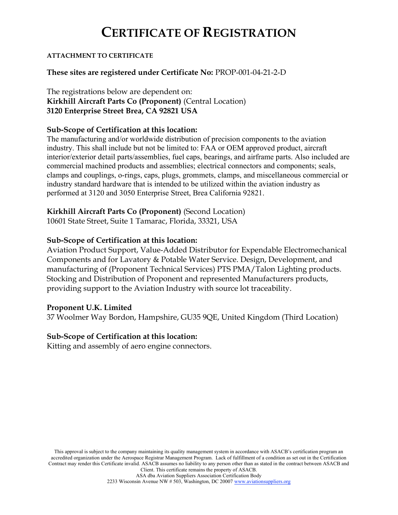#### ATTACHMENT TO CERTIFICATE

#### These sites are registered under Certificate No: PROP-001-04-21-2-D

The registrations below are dependent on: Kirkhill Aircraft Parts Co (Proponent) (Central Location) 3120 Enterprise Street Brea, CA 92821 USA

#### Sub-Scope of Certification at this location:

The manufacturing and/or worldwide distribution of precision components to the aviation industry. This shall include but not be limited to: FAA or OEM approved product, aircraft interior/exterior detail parts/assemblies, fuel caps, bearings, and airframe parts. Also included are commercial machined products and assemblies; electrical connectors and components; seals, clamps and couplings, o-rings, caps, plugs, grommets, clamps, and miscellaneous commercial or industry standard hardware that is intended to be utilized within the aviation industry as performed at 3120 and 3050 Enterprise Street, Brea California 92821.

#### Kirkhill Aircraft Parts Co (Proponent) (Second Location)

10601 State Street, Suite 1 Tamarac, Florida, 33321, USA

#### Sub-Scope of Certification at this location:

Aviation Product Support, Value-Added Distributor for Expendable Electromechanical Components and for Lavatory & Potable Water Service. Design, Development, and manufacturing of (Proponent Technical Services) PTS PMA/Talon Lighting products. Stocking and Distribution of Proponent and represented Manufacturers products, providing support to the Aviation Industry with source lot traceability.

#### Proponent U.K. Limited

37 Woolmer Way Bordon, Hampshire, GU35 9QE, United Kingdom (Third Location)

#### Sub-Scope of Certification at this location:

Kitting and assembly of aero engine connectors.

This approval is subject to the company maintaining its quality management system in accordance with ASACB's certification program an accredited organization under the Aerospace Registrar Management Program. Lack of fulfillment of a condition as set out in the Certification Contract may render this Certificate invalid. ASACB assumes no liability to any person other than as stated in the contract between ASACB and Client. This certificate remains the property of ASACB. ASA dba Aviation Suppliers Association Certification Body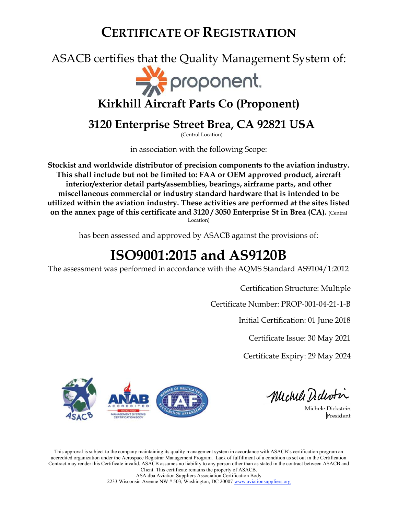ASACB certifies that the Quality Management System of:



## Kirkhill Aircraft Parts Co (Proponent)

## 3120 Enterprise Street Brea, CA 92821 USA

(Central Location)

in association with the following Scope:

Stockist and worldwide distributor of precision components to the aviation industry. This shall include but not be limited to: FAA or OEM approved product, aircraft interior/exterior detail parts/assemblies, bearings, airframe parts, and other miscellaneous commercial or industry standard hardware that is intended to be utilized within the aviation industry. These activities are performed at the sites listed on the annex page of this certificate and 3120 / 3050 Enterprise St in Brea (CA). (Central Location)

has been assessed and approved by ASACB against the provisions of:

# ISO9001:2015 and AS9120B

The assessment was performed in accordance with the AQMS Standard AS9104/1:2012

Certification Structure: Multiple

Certificate Number: PROP-001-04-21-1-B

Initial Certification: 01 June 2018

Certificate Issue: 30 May 2021

Certificate Expiry: 29 May 2024



Michell Dedertin

Michele Dickstein President

This approval is subject to the company maintaining its quality management system in accordance with ASACB's certification program an accredited organization under the Aerospace Registrar Management Program. Lack of fulfillment of a condition as set out in the Certification Contract may render this Certificate invalid. ASACB assumes no liability to any person other than as stated in the contract between ASACB and Client. This certificate remains the property of ASACB. ASA dba Aviation Suppliers Association Certification Body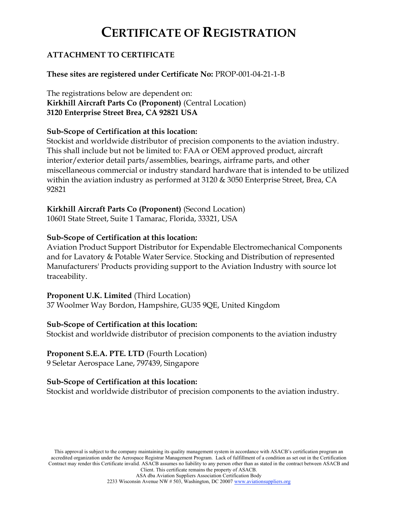### ATTACHMENT TO CERTIFICATE

### These sites are registered under Certificate No: PROP-001-04-21-1-B

The registrations below are dependent on: Kirkhill Aircraft Parts Co (Proponent) (Central Location) 3120 Enterprise Street Brea, CA 92821 USA

### Sub-Scope of Certification at this location:

Stockist and worldwide distributor of precision components to the aviation industry. This shall include but not be limited to: FAA or OEM approved product, aircraft interior/exterior detail parts/assemblies, bearings, airframe parts, and other miscellaneous commercial or industry standard hardware that is intended to be utilized within the aviation industry as performed at 3120 & 3050 Enterprise Street, Brea, CA 92821

### Kirkhill Aircraft Parts Co (Proponent) (Second Location)

10601 State Street, Suite 1 Tamarac, Florida, 33321, USA

### Sub-Scope of Certification at this location:

Aviation Product Support Distributor for Expendable Electromechanical Components and for Lavatory & Potable Water Service. Stocking and Distribution of represented Manufacturers' Products providing support to the Aviation Industry with source lot traceability.

#### Proponent U.K. Limited (Third Location)

37 Woolmer Way Bordon, Hampshire, GU35 9QE, United Kingdom

#### Sub-Scope of Certification at this location:

Stockist and worldwide distributor of precision components to the aviation industry

### Proponent S.E.A. PTE. LTD (Fourth Location)

9 Seletar Aerospace Lane, 797439, Singapore

### Sub-Scope of Certification at this location:

Stockist and worldwide distributor of precision components to the aviation industry.

This approval is subject to the company maintaining its quality management system in accordance with ASACB's certification program an accredited organization under the Aerospace Registrar Management Program. Lack of fulfillment of a condition as set out in the Certification Contract may render this Certificate invalid. ASACB assumes no liability to any person other than as stated in the contract between ASACB and Client. This certificate remains the property of ASACB.

ASA dba Aviation Suppliers Association Certification Body